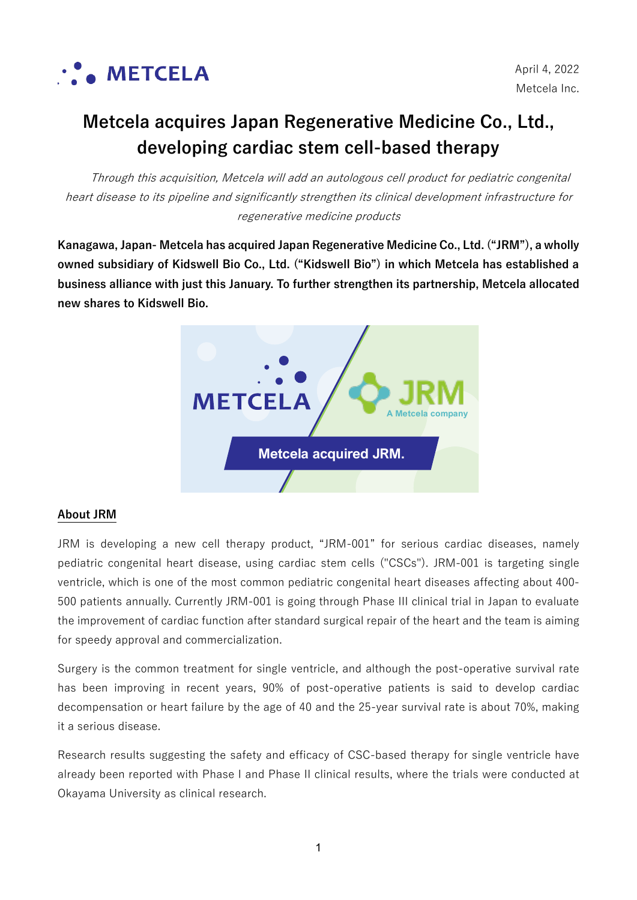

# **Metcela acquires Japan Regenerative Medicine Co., Ltd., developing cardiac stem cell-based therapy**

Through this acquisition, Metcela will add an autologous cell product for pediatric congenital heart disease to its pipeline and significantly strengthen its clinical development infrastructure for regenerative medicine products

**Kanagawa, Japan- Metcela has acquired Japan Regenerative Medicine Co., Ltd. ("JRM"), a wholly owned subsidiary of Kidswell Bio Co., Ltd. ("Kidswell Bio") in which Metcela has established a business alliance with just this January. To further strengthen its partnership, Metcela allocated new shares to Kidswell Bio.**



# **About JRM**

JRM is developing a new cell therapy product, "JRM-001" for serious cardiac diseases, namely pediatric congenital heart disease, using cardiac stem cells ("CSCs"). JRM-001 is targeting single ventricle, which is one of the most common pediatric congenital heart diseases affecting about 400- 500 patients annually. Currently JRM-001 is going through Phase III clinical trial in Japan to evaluate the improvement of cardiac function after standard surgical repair of the heart and the team is aiming for speedy approval and commercialization.

Surgery is the common treatment for single ventricle, and although the post-operative survival rate has been improving in recent years, 90% of post-operative patients is said to develop cardiac decompensation or heart failure by the age of 40 and the 25-year survival rate is about 70%, making it a serious disease.

Research results suggesting the safety and efficacy of CSC-based therapy for single ventricle have already been reported with Phase I and Phase II clinical results, where the trials were conducted at Okayama University as clinical research.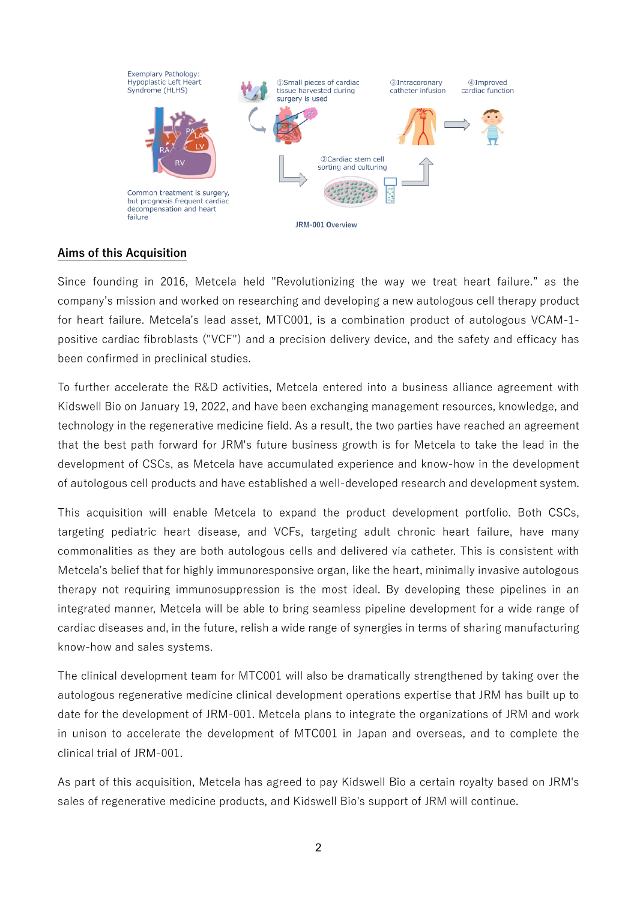

# **Aims of this Acquisition**

Since founding in 2016, Metcela held "Revolutionizing the way we treat heart failure." as the company's mission and worked on researching and developing a new autologous cell therapy product for heart failure. Metcela's lead asset, MTC001, is a combination product of autologous VCAM-1 positive cardiac fibroblasts ("VCF") and a precision delivery device, and the safety and efficacy has been confirmed in preclinical studies.

To further accelerate the R&D activities, Metcela entered into a business alliance agreement with Kidswell Bio on January 19, 2022, and have been exchanging management resources, knowledge, and technology in the regenerative medicine field. As a result, the two parties have reached an agreement that the best path forward for JRM's future business growth is for Metcela to take the lead in the development of CSCs, as Metcela have accumulated experience and know-how in the development of autologous cell products and have established a well-developed research and development system.

This acquisition will enable Metcela to expand the product development portfolio. Both CSCs, targeting pediatric heart disease, and VCFs, targeting adult chronic heart failure, have many commonalities as they are both autologous cells and delivered via catheter. This is consistent with Metcela's belief that for highly immunoresponsive organ, like the heart, minimally invasive autologous therapy not requiring immunosuppression is the most ideal. By developing these pipelines in an integrated manner, Metcela will be able to bring seamless pipeline development for a wide range of cardiac diseases and, in the future, relish a wide range of synergies in terms of sharing manufacturing know-how and sales systems.

The clinical development team for MTC001 will also be dramatically strengthened by taking over the autologous regenerative medicine clinical development operations expertise that JRM has built up to date for the development of JRM-001. Metcela plans to integrate the organizations of JRM and work in unison to accelerate the development of MTC001 in Japan and overseas, and to complete the clinical trial of JRM-001.

As part of this acquisition, Metcela has agreed to pay Kidswell Bio a certain royalty based on JRM's sales of regenerative medicine products, and Kidswell Bio's support of JRM will continue.